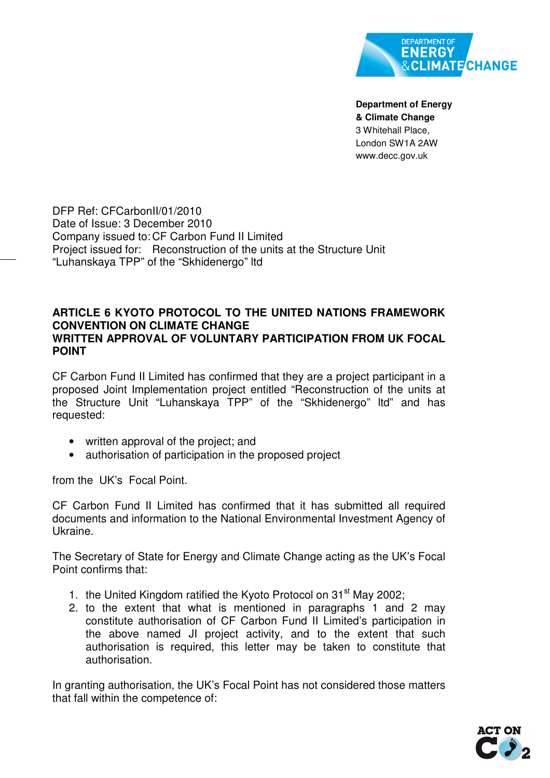

**Department of Energy & Climate Change**  3 Whitehall Place, London SW1A 2AW www.decc.gov.uk

DFP Ref: CFCarbonII/01/2010 Date of Issue: 3 December 2010 Company issued to: CF Carbon Fund II Limited Project issued for: Reconstruction of the units at the Structure Unit "Luhanskaya TPP" of the "Skhidenergo" ltd

## **ARTICLE 6 KYOTO PROTOCOL TO THE UNITED NATIONS FRAMEWORK CONVENTION ON CLIMATE CHANGE WRITTEN APPROVAL OF VOLUNTARY PARTICIPATION FROM UK FOCAL POINT**

CF Carbon Fund II Limited has confirmed that they are a project participant in a proposed Joint Implementation project entitled "Reconstruction of the units at the Structure Unit "Luhanskaya TPP" of the "Skhidenergo" ltd" and has requested:

- written approval of the project; and
- authorisation of participation in the proposed project

from the UK's Focal Point.

CF Carbon Fund II Limited has confirmed that it has submitted all required documents and information to the National Environmental Investment Agency of Ukraine.

The Secretary of State for Energy and Climate Change acting as the UK's Focal Point confirms that:

- 1. the United Kingdom ratified the Kyoto Protocol on  $31<sup>st</sup>$  May 2002;
- 2. to the extent that what is mentioned in paragraphs 1 and 2 may constitute authorisation of CF Carbon Fund II Limited's participation in the above named JI project activity, and to the extent that such authorisation is required, this letter may be taken to constitute that authorisation.

In granting authorisation, the UK's Focal Point has not considered those matters that fall within the competence of: